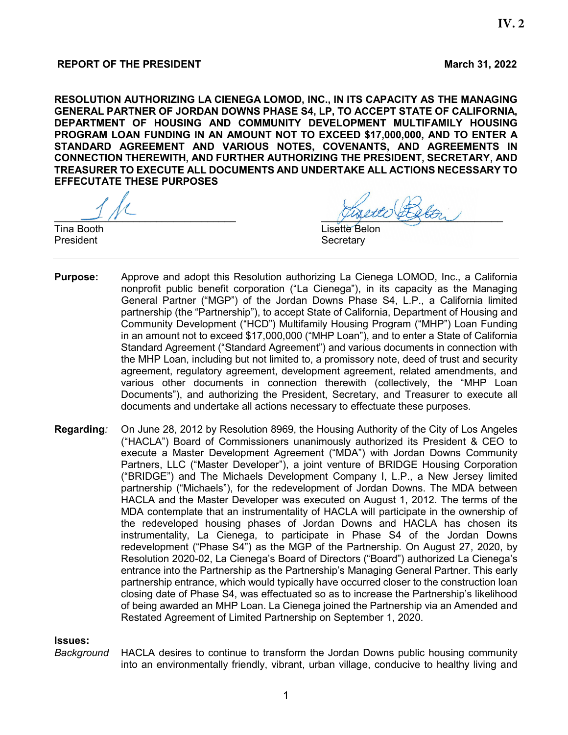**RESOLUTION AUTHORIZING LA CIENEGA LOMOD, INC., IN ITS CAPACITY AS THE MANAGING GENERAL PARTNER OF JORDAN DOWNS PHASE S4, LP, TO ACCEPT STATE OF CALIFORNIA, DEPARTMENT OF HOUSING AND COMMUNITY DEVELOPMENT MULTIFAMILY HOUSING PROGRAM LOAN FUNDING IN AN AMOUNT NOT TO EXCEED \$17,000,000, AND TO ENTER A STANDARD AGREEMENT AND VARIOUS NOTES, COVENANTS, AND AGREEMENTS IN CONNECTION THEREWITH, AND FURTHER AUTHORIZING THE PRESIDENT, SECRETARY, AND TREASURER TO EXECUTE ALL DOCUMENTS AND UNDERTAKE ALL ACTIONS NECESSARY TO EFFECUTATE THESE PURPOSES**

President **Secretary** Secretary

 $\frac{1}{2}$ 

Tina Booth **Lisette** Belon

- **Purpose:** Approve and adopt this Resolution authorizing La Cienega LOMOD, Inc., a California nonprofit public benefit corporation ("La Cienega"), in its capacity as the Managing General Partner ("MGP") of the Jordan Downs Phase S4, L.P., a California limited partnership (the "Partnership"), to accept State of California, Department of Housing and Community Development ("HCD") Multifamily Housing Program ("MHP") Loan Funding in an amount not to exceed \$17,000,000 ("MHP Loan"), and to enter a State of California Standard Agreement ("Standard Agreement") and various documents in connection with the MHP Loan, including but not limited to, a promissory note, deed of trust and security agreement, regulatory agreement, development agreement, related amendments, and various other documents in connection therewith (collectively, the "MHP Loan Documents"), and authorizing the President, Secretary, and Treasurer to execute all documents and undertake all actions necessary to effectuate these purposes.
- **Regarding***:* On June 28, 2012 by Resolution 8969, the Housing Authority of the City of Los Angeles ("HACLA") Board of Commissioners unanimously authorized its President & CEO to execute a Master Development Agreement ("MDA") with Jordan Downs Community Partners, LLC ("Master Developer"), a joint venture of BRIDGE Housing Corporation ("BRIDGE") and The Michaels Development Company I, L.P., a New Jersey limited partnership ("Michaels"), for the redevelopment of Jordan Downs. The MDA between HACLA and the Master Developer was executed on August 1, 2012. The terms of the MDA contemplate that an instrumentality of HACLA will participate in the ownership of the redeveloped housing phases of Jordan Downs and HACLA has chosen its instrumentality, La Cienega, to participate in Phase S4 of the Jordan Downs redevelopment ("Phase S4") as the MGP of the Partnership. On August 27, 2020, by Resolution 2020-02, La Cienega's Board of Directors ("Board") authorized La Cienega's entrance into the Partnership as the Partnership's Managing General Partner. This early partnership entrance, which would typically have occurred closer to the construction loan closing date of Phase S4, was effectuated so as to increase the Partnership's likelihood of being awarded an MHP Loan. La Cienega joined the Partnership via an Amended and Restated Agreement of Limited Partnership on September 1, 2020.

#### **Issues:**

*Background* HACLA desires to continue to transform the Jordan Downs public housing community into an environmentally friendly, vibrant, urban village, conducive to healthy living and

**IV. 2**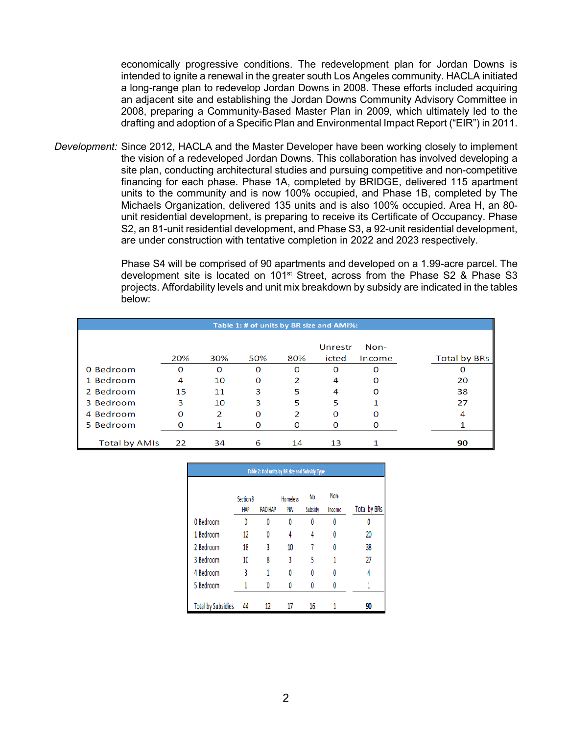economically progressive conditions. The redevelopment plan for Jordan Downs is intended to ignite a renewal in the greater south Los Angeles community. HACLA initiated a long-range plan to redevelop Jordan Downs in 2008. These efforts included acquiring an adjacent site and establishing the Jordan Downs Community Advisory Committee in 2008, preparing a Community-Based Master Plan in 2009, which ultimately led to the drafting and adoption of a Specific Plan and Environmental Impact Report ("EIR") in 2011.

*Development:* Since 2012, HACLA and the Master Developer have been working closely to implement the vision of a redeveloped Jordan Downs. This collaboration has involved developing a site plan, conducting architectural studies and pursuing competitive and non-competitive financing for each phase. Phase 1A, completed by BRIDGE, delivered 115 apartment units to the community and is now 100% occupied, and Phase 1B, completed by The Michaels Organization, delivered 135 units and is also 100% occupied. Area H, an 80 unit residential development, is preparing to receive its Certificate of Occupancy. Phase S2, an 81-unit residential development, and Phase S3, a 92-unit residential development, are under construction with tentative completion in 2022 and 2023 respectively.

> Phase S4 will be comprised of 90 apartments and developed on a 1.99-acre parcel. The development site is located on 101<sup>st</sup> Street, across from the Phase S2 & Phase S3 projects. Affordability levels and unit mix breakdown by subsidy are indicated in the tables below:

| Table 1: # of units by BR size and AMI%: |     |     |     |     |                  |                  |                     |  |
|------------------------------------------|-----|-----|-----|-----|------------------|------------------|---------------------|--|
|                                          | 20% | 30% | 50% | 80% | Unrestr<br>icted | $Non-$<br>Income | <b>Total by BRs</b> |  |
| 0 Bedroom                                | O   | O   | O   | O   | O                | Ω                |                     |  |
| 1 Bedroom                                | 4   | 10  | O   | 2   | 4                | O                | 20                  |  |
| 2 Bedroom                                | 15  | 11  | 3   | 5   | 4                | O                | 38                  |  |
| 3 Bedroom                                | 3   | 10  | 3   | 5   | 5                |                  | 27                  |  |
| 4 Bedroom                                | O   | 2   | O   |     | O                |                  |                     |  |
| 5 Bedroom                                | O   |     | O   |     | O                |                  |                     |  |
| Total by AMIs                            | 22  | 34  | 6   | 14  | 13               |                  | 90                  |  |

| Table 2: # of units by BR size and Subsidy Type |                         |                |                        |               |                |                     |  |  |
|-------------------------------------------------|-------------------------|----------------|------------------------|---------------|----------------|---------------------|--|--|
|                                                 | Section 8<br><b>HAP</b> | <b>RAD HAP</b> | <b>Homeless</b><br>PBV | No<br>Subsidy | Non-<br>Income | <b>Total by BRs</b> |  |  |
| 0 Bedroom                                       | 0                       | 0              | 0                      | Λ             | 0              | 0                   |  |  |
| 1 Bedroom                                       | 12                      | 0              | 4                      | 4             | 0              | 20                  |  |  |
| 2 Bedroom                                       | 18                      | 3              | 10                     |               | Λ              | 38                  |  |  |
| 3 Bedroom                                       | 10                      | 8              | 3                      | 5             |                | 27                  |  |  |
| 4 Bedroom                                       | 3                       | 1              | 0                      | Λ             | Λ              | 4                   |  |  |
| 5 Bedroom                                       |                         | 0              | 0                      | Λ             |                |                     |  |  |
| <b>Total by Subsidies</b>                       | 44                      | 12             | 17                     | 16            |                | 90                  |  |  |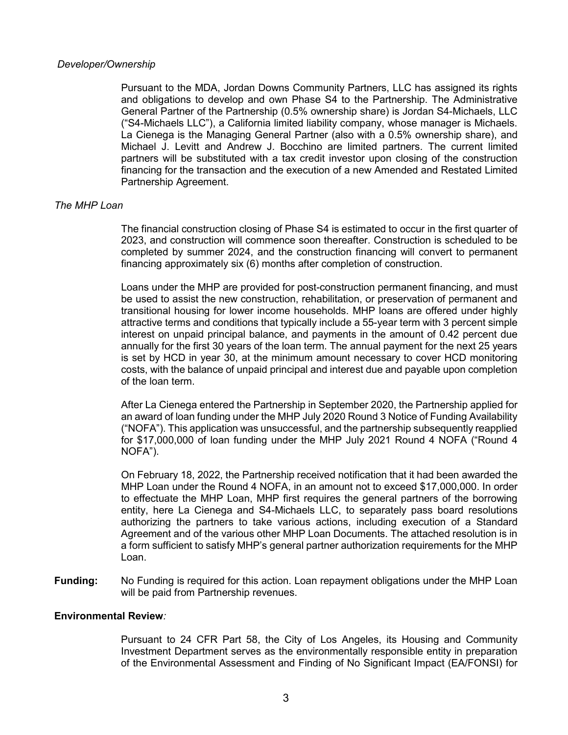## *Developer/Ownership*

Pursuant to the MDA, Jordan Downs Community Partners, LLC has assigned its rights and obligations to develop and own Phase S4 to the Partnership. The Administrative General Partner of the Partnership (0.5% ownership share) is Jordan S4-Michaels, LLC ("S4-Michaels LLC"), a California limited liability company, whose manager is Michaels. La Cienega is the Managing General Partner (also with a 0.5% ownership share), and Michael J. Levitt and Andrew J. Bocchino are limited partners. The current limited partners will be substituted with a tax credit investor upon closing of the construction financing for the transaction and the execution of a new Amended and Restated Limited Partnership Agreement.

## *The MHP Loan*

The financial construction closing of Phase S4 is estimated to occur in the first quarter of 2023, and construction will commence soon thereafter. Construction is scheduled to be completed by summer 2024, and the construction financing will convert to permanent financing approximately six (6) months after completion of construction.

Loans under the MHP are provided for post-construction permanent financing, and must be used to assist the new construction, rehabilitation, or preservation of permanent and transitional housing for lower income households. MHP loans are offered under highly attractive terms and conditions that typically include a 55-year term with 3 percent simple interest on unpaid principal balance, and payments in the amount of 0.42 percent due annually for the first 30 years of the loan term. The annual payment for the next 25 years is set by HCD in year 30, at the minimum amount necessary to cover HCD monitoring costs, with the balance of unpaid principal and interest due and payable upon completion of the loan term.

After La Cienega entered the Partnership in September 2020, the Partnership applied for an award of loan funding under the MHP July 2020 Round 3 Notice of Funding Availability ("NOFA"). This application was unsuccessful, and the partnership subsequently reapplied for \$17,000,000 of loan funding under the MHP July 2021 Round 4 NOFA ("Round 4 NOFA").

On February 18, 2022, the Partnership received notification that it had been awarded the MHP Loan under the Round 4 NOFA, in an amount not to exceed \$17,000,000. In order to effectuate the MHP Loan, MHP first requires the general partners of the borrowing entity, here La Cienega and S4-Michaels LLC, to separately pass board resolutions authorizing the partners to take various actions, including execution of a Standard Agreement and of the various other MHP Loan Documents. The attached resolution is in a form sufficient to satisfy MHP's general partner authorization requirements for the MHP Loan.

**Funding:** No Funding is required for this action. Loan repayment obligations under the MHP Loan will be paid from Partnership revenues.

#### **Environmental Review***:*

Pursuant to 24 CFR Part 58, the City of Los Angeles, its Housing and Community Investment Department serves as the environmentally responsible entity in preparation of the Environmental Assessment and Finding of No Significant Impact (EA/FONSI) for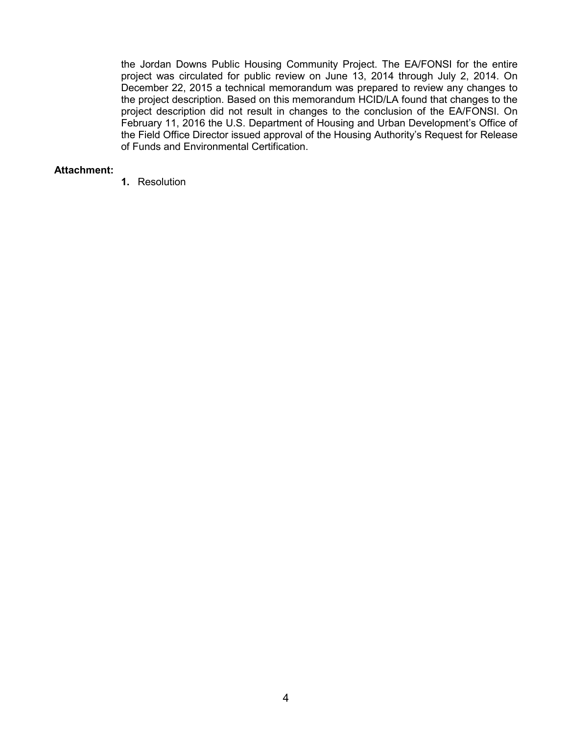the Jordan Downs Public Housing Community Project. The EA/FONSI for the entire project was circulated for public review on June 13, 2014 through July 2, 2014. On December 22, 2015 a technical memorandum was prepared to review any changes to the project description. Based on this memorandum HCID/LA found that changes to the project description did not result in changes to the conclusion of the EA/FONSI. On February 11, 2016 the U.S. Department of Housing and Urban Development's Office of the Field Office Director issued approval of the Housing Authority's Request for Release of Funds and Environmental Certification.

### **Attachment:**

**1.** Resolution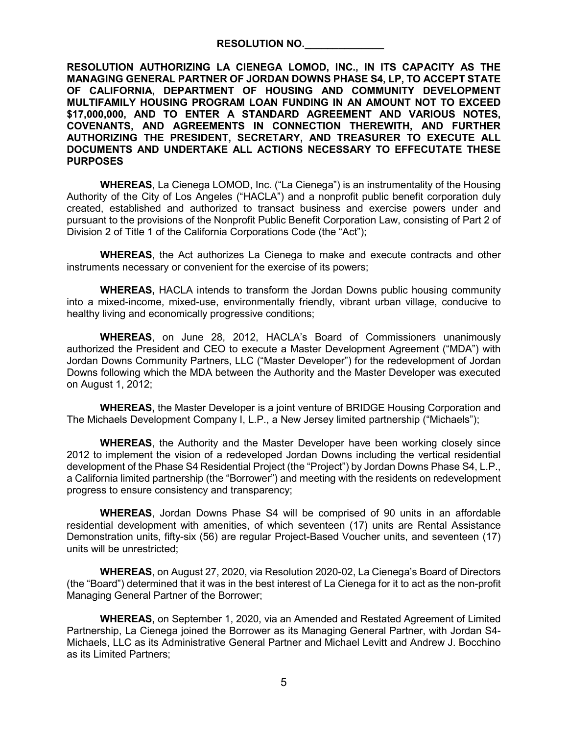### **RESOLUTION NO.\_\_\_\_\_\_\_\_\_\_\_\_\_\_**

**RESOLUTION AUTHORIZING LA CIENEGA LOMOD, INC., IN ITS CAPACITY AS THE MANAGING GENERAL PARTNER OF JORDAN DOWNS PHASE S4, LP, TO ACCEPT STATE OF CALIFORNIA, DEPARTMENT OF HOUSING AND COMMUNITY DEVELOPMENT MULTIFAMILY HOUSING PROGRAM LOAN FUNDING IN AN AMOUNT NOT TO EXCEED \$17,000,000, AND TO ENTER A STANDARD AGREEMENT AND VARIOUS NOTES, COVENANTS, AND AGREEMENTS IN CONNECTION THEREWITH, AND FURTHER AUTHORIZING THE PRESIDENT, SECRETARY, AND TREASURER TO EXECUTE ALL DOCUMENTS AND UNDERTAKE ALL ACTIONS NECESSARY TO EFFECUTATE THESE PURPOSES**

**WHEREAS**, La Cienega LOMOD, Inc. ("La Cienega") is an instrumentality of the Housing Authority of the City of Los Angeles ("HACLA") and a nonprofit public benefit corporation duly created, established and authorized to transact business and exercise powers under and pursuant to the provisions of the Nonprofit Public Benefit Corporation Law, consisting of Part 2 of Division 2 of Title 1 of the California Corporations Code (the "Act");

**WHEREAS**, the Act authorizes La Cienega to make and execute contracts and other instruments necessary or convenient for the exercise of its powers;

**WHEREAS,** HACLA intends to transform the Jordan Downs public housing community into a mixed-income, mixed-use, environmentally friendly, vibrant urban village, conducive to healthy living and economically progressive conditions;

**WHEREAS**, on June 28, 2012, HACLA's Board of Commissioners unanimously authorized the President and CEO to execute a Master Development Agreement ("MDA") with Jordan Downs Community Partners, LLC ("Master Developer") for the redevelopment of Jordan Downs following which the MDA between the Authority and the Master Developer was executed on August 1, 2012;

**WHEREAS,** the Master Developer is a joint venture of BRIDGE Housing Corporation and The Michaels Development Company I, L.P., a New Jersey limited partnership ("Michaels");

**WHEREAS**, the Authority and the Master Developer have been working closely since 2012 to implement the vision of a redeveloped Jordan Downs including the vertical residential development of the Phase S4 Residential Project (the "Project") by Jordan Downs Phase S4, L.P., a California limited partnership (the "Borrower") and meeting with the residents on redevelopment progress to ensure consistency and transparency;

**WHEREAS**, Jordan Downs Phase S4 will be comprised of 90 units in an affordable residential development with amenities, of which seventeen (17) units are Rental Assistance Demonstration units, fifty-six (56) are regular Project-Based Voucher units, and seventeen (17) units will be unrestricted;

**WHEREAS**, on August 27, 2020, via Resolution 2020-02, La Cienega's Board of Directors (the "Board") determined that it was in the best interest of La Cienega for it to act as the non-profit Managing General Partner of the Borrower;

**WHEREAS,** on September 1, 2020, via an Amended and Restated Agreement of Limited Partnership, La Cienega joined the Borrower as its Managing General Partner, with Jordan S4- Michaels, LLC as its Administrative General Partner and Michael Levitt and Andrew J. Bocchino as its Limited Partners;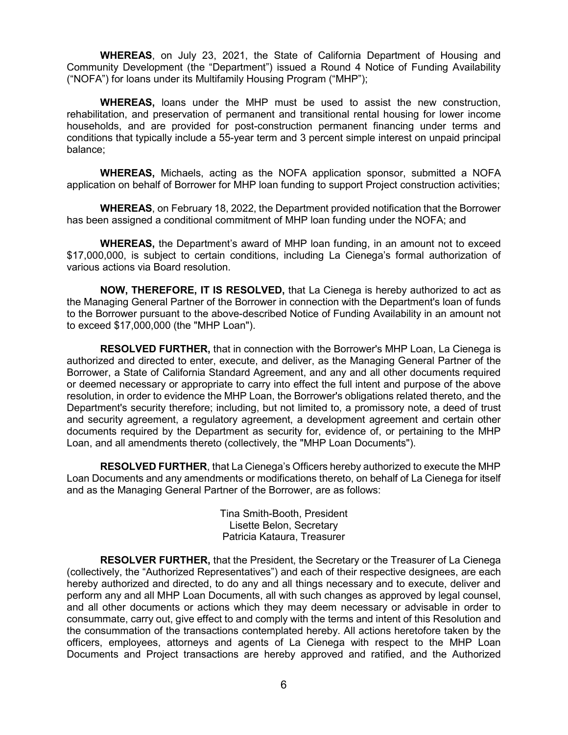**WHEREAS**, on July 23, 2021, the State of California Department of Housing and Community Development (the "Department") issued a Round 4 Notice of Funding Availability ("NOFA") for loans under its Multifamily Housing Program ("MHP");

**WHEREAS,** loans under the MHP must be used to assist the new construction, rehabilitation, and preservation of permanent and transitional rental housing for lower income households, and are provided for post-construction permanent financing under terms and conditions that typically include a 55-year term and 3 percent simple interest on unpaid principal balance;

**WHEREAS,** Michaels, acting as the NOFA application sponsor, submitted a NOFA application on behalf of Borrower for MHP loan funding to support Project construction activities;

**WHEREAS**, on February 18, 2022, the Department provided notification that the Borrower has been assigned a conditional commitment of MHP loan funding under the NOFA; and

**WHEREAS,** the Department's award of MHP loan funding, in an amount not to exceed \$17,000,000, is subject to certain conditions, including La Cienega's formal authorization of various actions via Board resolution.

**NOW, THEREFORE, IT IS RESOLVED,** that La Cienega is hereby authorized to act as the Managing General Partner of the Borrower in connection with the Department's loan of funds to the Borrower pursuant to the above-described Notice of Funding Availability in an amount not to exceed \$17,000,000 (the "MHP Loan").

**RESOLVED FURTHER,** that in connection with the Borrower's MHP Loan, La Cienega is authorized and directed to enter, execute, and deliver, as the Managing General Partner of the Borrower, a State of California Standard Agreement, and any and all other documents required or deemed necessary or appropriate to carry into effect the full intent and purpose of the above resolution, in order to evidence the MHP Loan, the Borrower's obligations related thereto, and the Department's security therefore; including, but not limited to, a promissory note, a deed of trust and security agreement, a regulatory agreement, a development agreement and certain other documents required by the Department as security for, evidence of, or pertaining to the MHP Loan, and all amendments thereto (collectively, the "MHP Loan Documents").

**RESOLVED FURTHER**, that La Cienega's Officers hereby authorized to execute the MHP Loan Documents and any amendments or modifications thereto, on behalf of La Cienega for itself and as the Managing General Partner of the Borrower, are as follows:

> Tina Smith-Booth, President Lisette Belon, Secretary Patricia Kataura, Treasurer

**RESOLVER FURTHER,** that the President, the Secretary or the Treasurer of La Cienega (collectively, the "Authorized Representatives") and each of their respective designees, are each hereby authorized and directed, to do any and all things necessary and to execute, deliver and perform any and all MHP Loan Documents, all with such changes as approved by legal counsel, and all other documents or actions which they may deem necessary or advisable in order to consummate, carry out, give effect to and comply with the terms and intent of this Resolution and the consummation of the transactions contemplated hereby. All actions heretofore taken by the officers, employees, attorneys and agents of La Cienega with respect to the MHP Loan Documents and Project transactions are hereby approved and ratified, and the Authorized